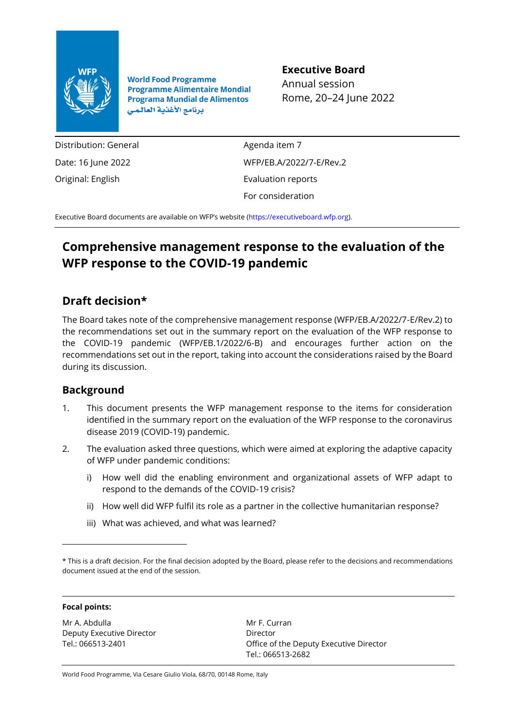

**World Food Programme Programme Alimentaire Mondial Programa Mundial de Alimentos** برنامج الأغذية العالمي

## **Executive Board**

Annual session Rome, 20–24 June 2022

Distribution: General Date: 16 June 2022 Original: English

Agenda item 7 WFP/EB.A/2022/7-E/Rev.2 Evaluation reports For consideration

Executive Board documents are available on WFP's website [\(https://executiveboard.wfp.org\)](https://executiveboard.wfp.org/).

# **Comprehensive management response to the evaluation of the WFP response to the COVID-19 pandemic**

## **Draft decision\***

The Board takes note of the comprehensive management response (WFP/EB.A/2022/7-E/Rev.2) to the recommendations set out in the summary report on the evaluation of the WFP response to the COVID-19 pandemic (WFP/EB.1/2022/6-B) and encourages further action on the recommendations set out in the report, taking into account the considerations raised by the Board during its discussion.

## **Background**

- 1. This document presents the WFP management response to the items for consideration identified in the summary report on the evaluation of the WFP response to the coronavirus disease 2019 (COVID-19) pandemic.
- 2. The evaluation asked three questions, which were aimed at exploring the adaptive capacity of WFP under pandemic conditions:
	- i) How well did the enabling environment and organizational assets of WFP adapt to respond to the demands of the COVID-19 crisis?
	- ii) How well did WFP fulfil its role as a partner in the collective humanitarian response?
	- iii) What was achieved, and what was learned?

### **Focal points:**

Mr A. Abdulla Deputy Executive Director Tel.: 066513-2401

Mr F. Curran Director Office of the Deputy Executive Director Tel.: 066513-2682

World Food Programme, Via Cesare Giulio Viola, 68/70, 00148 Rome, Italy

<sup>\*</sup> This is a draft decision. For the final decision adopted by the Board, please refer to the decisions and recommendations document issued at the end of the session.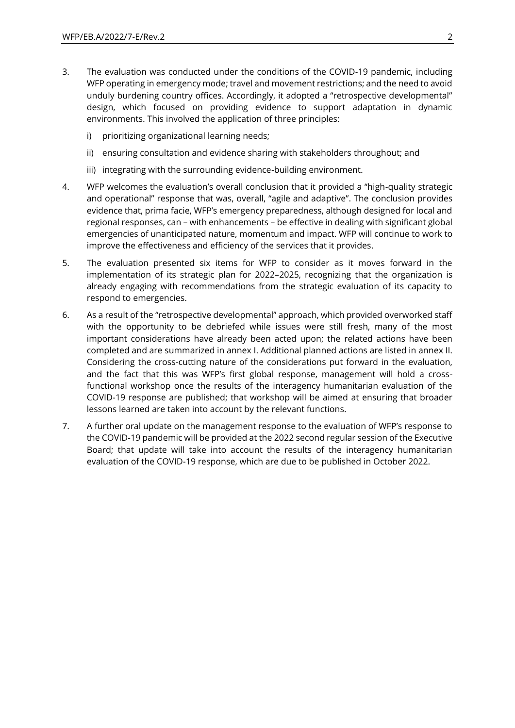- 3. The evaluation was conducted under the conditions of the COVID-19 pandemic, including WFP operating in emergency mode; travel and movement restrictions; and the need to avoid unduly burdening country offices. Accordingly, it adopted a "retrospective developmental" design, which focused on providing evidence to support adaptation in dynamic environments. This involved the application of three principles:
	- i) prioritizing organizational learning needs;
	- ii) ensuring consultation and evidence sharing with stakeholders throughout; and
	- iii) integrating with the surrounding evidence-building environment.
- 4. WFP welcomes the evaluation's overall conclusion that it provided a "high-quality strategic and operational" response that was, overall, "agile and adaptive". The conclusion provides evidence that, prima facie, WFP's emergency preparedness, although designed for local and regional responses, can – with enhancements – be effective in dealing with significant global emergencies of unanticipated nature, momentum and impact. WFP will continue to work to improve the effectiveness and efficiency of the services that it provides.
- 5. The evaluation presented six items for WFP to consider as it moves forward in the implementation of its strategic plan for 2022–2025, recognizing that the organization is already engaging with recommendations from the strategic evaluation of its capacity to respond to emergencies.
- 6. As a result of the "retrospective developmental" approach, which provided overworked staff with the opportunity to be debriefed while issues were still fresh, many of the most important considerations have already been acted upon; the related actions have been completed and are summarized in annex I. Additional planned actions are listed in annex II. Considering the cross-cutting nature of the considerations put forward in the evaluation, and the fact that this was WFP's first global response, management will hold a crossfunctional workshop once the results of the interagency humanitarian evaluation of the COVID-19 response are published; that workshop will be aimed at ensuring that broader lessons learned are taken into account by the relevant functions.
- 7. A further oral update on the management response to the evaluation of WFP's response to the COVID-19 pandemic will be provided at the 2022 second regular session of the Executive Board; that update will take into account the results of the interagency humanitarian evaluation of the COVID-19 response, which are due to be published in October 2022.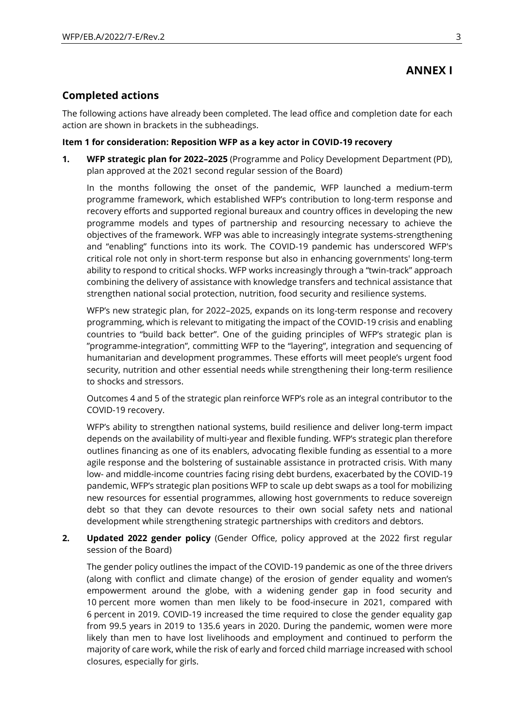## **ANNEX I**

## **Completed actions**

The following actions have already been completed. The lead office and completion date for each action are shown in brackets in the subheadings.

### **Item 1 for consideration: Reposition WFP as a key actor in COVID-19 recovery**

**1. WFP strategic plan for 2022–2025** (Programme and Policy Development Department (PD), plan approved at the 2021 second regular session of the Board)

In the months following the onset of the pandemic, WFP launched a medium-term programme framework, which established WFP's contribution to long-term response and recovery efforts and supported regional bureaux and country offices in developing the new programme models and types of partnership and resourcing necessary to achieve the objectives of the framework. WFP was able to increasingly integrate systems-strengthening and "enabling" functions into its work. The COVID-19 pandemic has underscored WFP's critical role not only in short-term response but also in enhancing governments' long-term ability to respond to critical shocks. WFP works increasingly through a "twin-track" approach combining the delivery of assistance with knowledge transfers and technical assistance that strengthen national social protection, nutrition, food security and resilience systems.

WFP's new strategic plan, for 2022–2025, expands on its long-term response and recovery programming, which is relevant to mitigating the impact of the COVID-19 crisis and enabling countries to "build back better". One of the guiding principles of WFP's strategic plan is "programme-integration", committing WFP to the "layering", integration and sequencing of humanitarian and development programmes. These efforts will meet people's urgent food security, nutrition and other essential needs while strengthening their long-term resilience to shocks and stressors.

Outcomes 4 and 5 of the strategic plan reinforce WFP's role as an integral contributor to the COVID-19 recovery.

WFP's ability to strengthen national systems, build resilience and deliver long-term impact depends on the availability of multi-year and flexible funding. WFP's strategic plan therefore outlines financing as one of its enablers, advocating flexible funding as essential to a more agile response and the bolstering of sustainable assistance in protracted crisis. With many low- and middle-income countries facing rising debt burdens, exacerbated by the COVID-19 pandemic, WFP's strategic plan positions WFP to scale up debt swaps as a tool for mobilizing new resources for essential programmes, allowing host governments to reduce sovereign debt so that they can devote resources to their own social safety nets and national development while strengthening strategic partnerships with creditors and debtors.

## **2. Updated 2022 gender policy** (Gender Office, policy approved at the 2022 first regular session of the Board)

The gender policy outlines the impact of the COVID-19 pandemic as one of the three drivers (along with conflict and climate change) of the erosion of gender equality and women's empowerment around the globe, with a widening gender gap in food security and 10 percent more women than men likely to be food-insecure in 2021, compared with 6 percent in 2019. COVID-19 increased the time required to close the gender equality gap from 99.5 years in 2019 to 135.6 years in 2020. During the pandemic, women were more likely than men to have lost livelihoods and employment and continued to perform the majority of care work, while the risk of early and forced child marriage increased with school closures, especially for girls.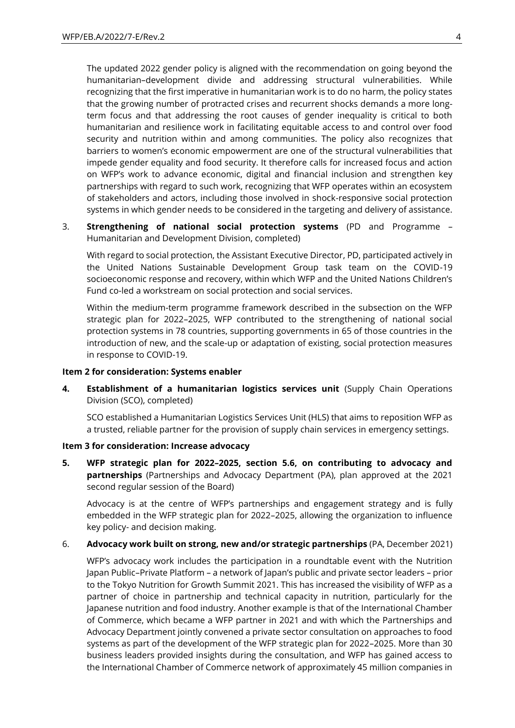The updated 2022 gender policy is aligned with the recommendation on going beyond the humanitarian–development divide and addressing structural vulnerabilities. While recognizing that the first imperative in humanitarian work is to do no harm, the policy states that the growing number of protracted crises and recurrent shocks demands a more longterm focus and that addressing the root causes of gender inequality is critical to both humanitarian and resilience work in facilitating equitable access to and control over food security and nutrition within and among communities. The policy also recognizes that barriers to women's economic empowerment are one of the structural vulnerabilities that impede gender equality and food security. It therefore calls for increased focus and action on WFP's work to advance economic, digital and financial inclusion and strengthen key partnerships with regard to such work, recognizing that WFP operates within an ecosystem of stakeholders and actors, including those involved in shock-responsive social protection systems in which gender needs to be considered in the targeting and delivery of assistance.

3. **Strengthening of national social protection systems** (PD and Programme – Humanitarian and Development Division, completed)

With regard to social protection, the Assistant Executive Director, PD, participated actively in the United Nations Sustainable Development Group task team on the COVID-19 socioeconomic response and recovery, within which WFP and the United Nations Children's Fund co-led a workstream on social protection and social services.

Within the medium-term programme framework described in the subsection on the WFP strategic plan for 2022–2025, WFP contributed to the strengthening of national social protection systems in 78 countries, supporting governments in 65 of those countries in the introduction of new, and the scale-up or adaptation of existing, social protection measures in response to COVID-19.

#### **Item 2 for consideration: Systems enabler**

**4. Establishment of a humanitarian logistics services unit** (Supply Chain Operations Division (SCO), completed)

SCO established a Humanitarian Logistics Services Unit (HLS) that aims to reposition WFP as a trusted, reliable partner for the provision of supply chain services in emergency settings.

#### **Item 3 for consideration: Increase advocacy**

**5. WFP strategic plan for 2022–2025, section 5.6, on contributing to advocacy and partnerships** (Partnerships and Advocacy Department (PA), plan approved at the 2021 second regular session of the Board)

Advocacy is at the centre of WFP's partnerships and engagement strategy and is fully embedded in the WFP strategic plan for 2022–2025, allowing the organization to influence key policy- and decision making.

### 6. **Advocacy work built on strong, new and/or strategic partnerships** (PA, December 2021)

WFP's advocacy work includes the participation in a roundtable event with the Nutrition Japan Public–Private Platform – a network of Japan's public and private sector leaders – prior to the Tokyo Nutrition for Growth Summit 2021. This has increased the visibility of WFP as a partner of choice in partnership and technical capacity in nutrition, particularly for the Japanese nutrition and food industry. Another example is that of the International Chamber of Commerce, which became a WFP partner in 2021 and with which the Partnerships and Advocacy Department jointly convened a private sector consultation on approaches to food systems as part of the development of the WFP strategic plan for 2022–2025. More than 30 business leaders provided insights during the consultation, and WFP has gained access to the International Chamber of Commerce network of approximately 45 million companies in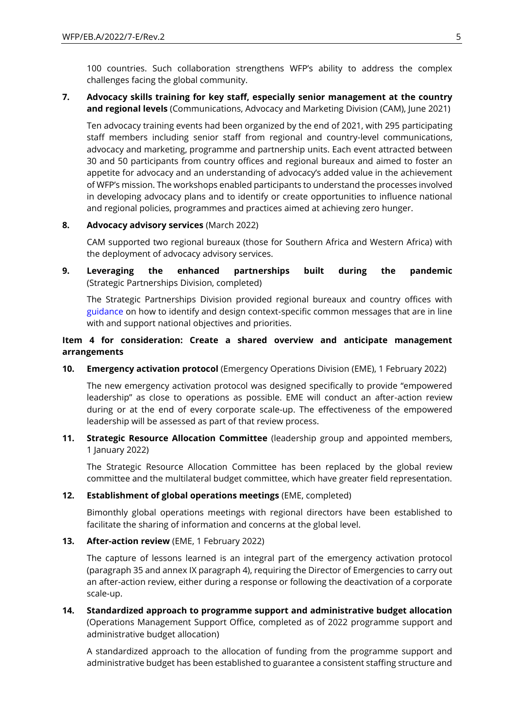100 countries. Such collaboration strengthens WFP's ability to address the complex challenges facing the global community.

## **7. Advocacy skills training for key staff, especially senior management at the country and regional levels** (Communications, Advocacy and Marketing Division (CAM), June 2021)

Ten advocacy training events had been organized by the end of 2021, with 295 participating staff members including senior staff from regional and country-level communications, advocacy and marketing, programme and partnership units. Each event attracted between 30 and 50 participants from country offices and regional bureaux and aimed to foster an appetite for advocacy and an understanding of advocacy's added value in the achievement of WFP's mission. The workshops enabled participants to understand the processes involved in developing advocacy plans and to identify or create opportunities to influence national and regional policies, programmes and practices aimed at achieving zero hunger.

## **8. Advocacy advisory services** (March 2022)

CAM supported two regional bureaux (those for Southern Africa and Western Africa) with the deployment of advocacy advisory services.

**9. Leveraging the enhanced partnerships built during the pandemic**  (Strategic Partnerships Division, completed)

The Strategic Partnerships Division provided regional bureaux and country offices with [guidance](https://docs.wfp.org/api/documents/WFP-0000123002/download/) on how to identify and design context-specific common messages that are in line with and support national objectives and priorities.

## **Item 4 for consideration: Create a shared overview and anticipate management arrangements**

**10. Emergency activation protocol** (Emergency Operations Division (EME), 1 February 2022)

The new emergency activation protocol was designed specifically to provide "empowered leadership" as close to operations as possible. EME will conduct an after-action review during or at the end of every corporate scale-up. The effectiveness of the empowered leadership will be assessed as part of that review process.

**11. Strategic Resource Allocation Committee** (leadership group and appointed members, 1 January 2022)

The Strategic Resource Allocation Committee has been replaced by the global review committee and the multilateral budget committee, which have greater field representation.

## **12. Establishment of global operations meetings** (EME, completed)

Bimonthly global operations meetings with regional directors have been established to facilitate the sharing of information and concerns at the global level.

## **13. After-action review** (EME, 1 February 2022)

The capture of lessons learned is an integral part of the emergency activation protocol (paragraph 35 and annex IX paragraph 4), requiring the Director of Emergencies to carry out an after-action review, either during a response or following the deactivation of a corporate scale-up.

**14. Standardized approach to programme support and administrative budget allocation**  (Operations Management Support Office, completed as of 2022 programme support and administrative budget allocation)

A standardized approach to the allocation of funding from the programme support and administrative budget has been established to guarantee a consistent staffing structure and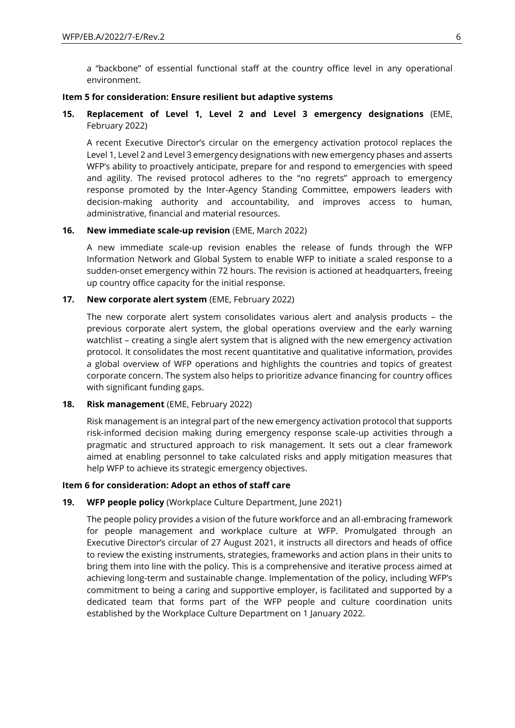a "backbone" of essential functional staff at the country office level in any operational environment.

#### **Item 5 for consideration: Ensure resilient but adaptive systems**

**15. Replacement of Level 1, Level 2 and Level 3 emergency designations** (EME, February 2022)

A recent Executive Director's circular on the emergency activation protocol replaces the Level 1, Level 2 and Level 3 emergency designations with new emergency phases and asserts WFP's ability to proactively anticipate, prepare for and respond to emergencies with speed and agility. The revised protocol adheres to the "no regrets" approach to emergency response promoted by the Inter-Agency Standing Committee, empowers leaders with decision-making authority and accountability, and improves access to human, administrative, financial and material resources.

#### **16. New immediate scale-up revision** (EME, March 2022)

A new immediate scale-up revision enables the release of funds through the WFP Information Network and Global System to enable WFP to initiate a scaled response to a sudden-onset emergency within 72 hours. The revision is actioned at headquarters, freeing up country office capacity for the initial response.

#### **17. New corporate alert system** (EME, February 2022)

The new corporate alert system consolidates various alert and analysis products – the previous corporate alert system, the global operations overview and the early warning watchlist – creating a single alert system that is aligned with the new emergency activation protocol. It consolidates the most recent quantitative and qualitative information, provides a global overview of WFP operations and highlights the countries and topics of greatest corporate concern. The system also helps to prioritize advance financing for country offices with significant funding gaps.

### **18. Risk management** (EME, February 2022)

Risk management is an integral part of the new emergency activation protocol that supports risk-informed decision making during emergency response scale-up activities through a pragmatic and structured approach to risk management. It sets out a clear framework aimed at enabling personnel to take calculated risks and apply mitigation measures that help WFP to achieve its strategic emergency objectives.

### **Item 6 for consideration: Adopt an ethos of staff care**

### **19. WFP people policy** (Workplace Culture Department, June 2021)

The people policy provides a vision of the future workforce and an all-embracing framework for people management and workplace culture at WFP. Promulgated through an Executive Director's circular of 27 August 2021, it instructs all directors and heads of office to review the existing instruments, strategies, frameworks and action plans in their units to bring them into line with the policy. This is a comprehensive and iterative process aimed at achieving long-term and sustainable change. Implementation of the policy, including WFP's commitment to being a caring and supportive employer, is facilitated and supported by a dedicated team that forms part of the WFP people and culture coordination units established by the Workplace Culture Department on 1 January 2022.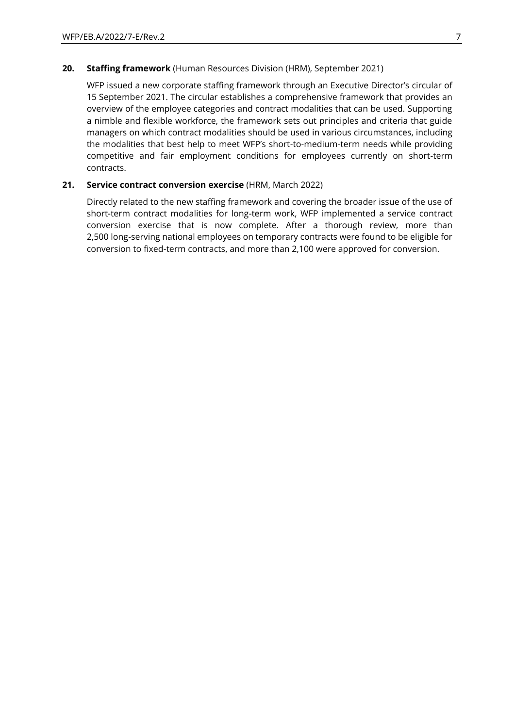### **20. Staffing framework** (Human Resources Division (HRM), September 2021)

WFP issued a new corporate staffing framework through an Executive Director's circular of 15 September 2021. The circular establishes a comprehensive framework that provides an overview of the employee categories and contract modalities that can be used. Supporting a nimble and flexible workforce, the framework sets out principles and criteria that guide managers on which contract modalities should be used in various circumstances, including the modalities that best help to meet WFP's short-to-medium-term needs while providing competitive and fair employment conditions for employees currently on short-term contracts.

### **21. Service contract conversion exercise** (HRM, March 2022)

Directly related to the new staffing framework and covering the broader issue of the use of short-term contract modalities for long-term work, WFP implemented a service contract conversion exercise that is now complete. After a thorough review, more than 2,500 long-serving national employees on temporary contracts were found to be eligible for conversion to fixed-term contracts, and more than 2,100 were approved for conversion.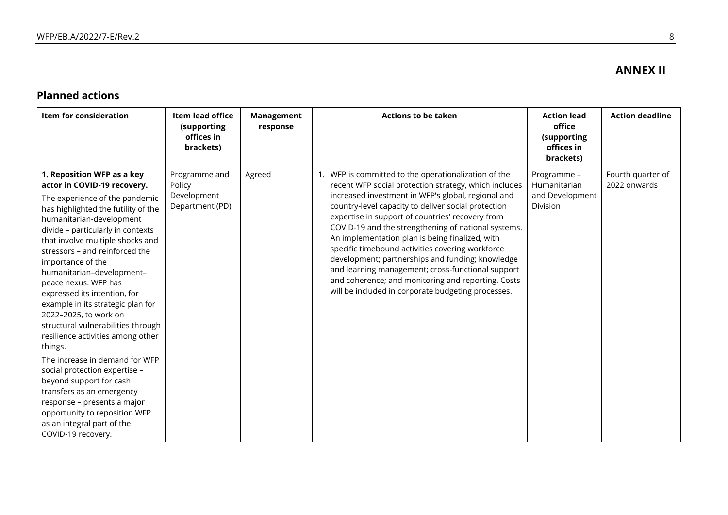## **ANNEX II**

## **Planned actions**

| Item for consideration                                                                                                                                                                                                                                                                                                                                                                                                                                                                                                                                                                                                                                                                                                                                                                 | Item lead office<br>(supporting<br>offices in<br>brackets) | <b>Management</b><br>response | <b>Actions to be taken</b>                                                                                                                                                                                                                                                                                                                                                                                                                                                                                                                                                                                                                                        | <b>Action lead</b><br>office<br>(supporting<br>offices in<br>brackets) | <b>Action deadline</b>            |
|----------------------------------------------------------------------------------------------------------------------------------------------------------------------------------------------------------------------------------------------------------------------------------------------------------------------------------------------------------------------------------------------------------------------------------------------------------------------------------------------------------------------------------------------------------------------------------------------------------------------------------------------------------------------------------------------------------------------------------------------------------------------------------------|------------------------------------------------------------|-------------------------------|-------------------------------------------------------------------------------------------------------------------------------------------------------------------------------------------------------------------------------------------------------------------------------------------------------------------------------------------------------------------------------------------------------------------------------------------------------------------------------------------------------------------------------------------------------------------------------------------------------------------------------------------------------------------|------------------------------------------------------------------------|-----------------------------------|
| 1. Reposition WFP as a key<br>actor in COVID-19 recovery.<br>The experience of the pandemic<br>has highlighted the futility of the<br>humanitarian-development<br>divide - particularly in contexts<br>that involve multiple shocks and<br>stressors – and reinforced the<br>importance of the<br>humanitarian-development-<br>peace nexus. WFP has<br>expressed its intention, for<br>example in its strategic plan for<br>2022-2025, to work on<br>structural vulnerabilities through<br>resilience activities among other<br>things.<br>The increase in demand for WFP<br>social protection expertise -<br>beyond support for cash<br>transfers as an emergency<br>response – presents a major<br>opportunity to reposition WFP<br>as an integral part of the<br>COVID-19 recovery. | Programme and<br>Policy<br>Development<br>Department (PD)  | Agreed                        | 1. WFP is committed to the operationalization of the<br>recent WFP social protection strategy, which includes<br>increased investment in WFP's global, regional and<br>country-level capacity to deliver social protection<br>expertise in support of countries' recovery from<br>COVID-19 and the strengthening of national systems.<br>An implementation plan is being finalized, with<br>specific timebound activities covering workforce<br>development; partnerships and funding; knowledge<br>and learning management; cross-functional support<br>and coherence; and monitoring and reporting. Costs<br>will be included in corporate budgeting processes. | Programme -<br>Humanitarian<br>and Development<br>Division             | Fourth quarter of<br>2022 onwards |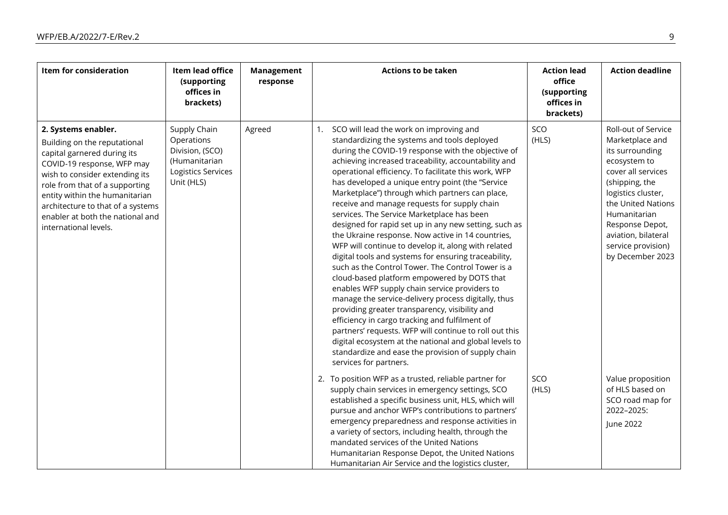| Item for consideration                                                                                                                                                                                                                                                                                                   | Item lead office<br>(supporting<br>offices in<br>brackets)                                         | <b>Management</b><br>response | <b>Actions to be taken</b>                                                                                                                                                                                                                                                                                                                                                                                                                                                                                                                                                                                                                                                                                                                                                                                                                                                                                                                                                                                                                                                                                                                                                                                                | <b>Action lead</b><br>office<br>(supporting<br>offices in<br>brackets) | <b>Action deadline</b>                                                                                                                                                                                                                                            |
|--------------------------------------------------------------------------------------------------------------------------------------------------------------------------------------------------------------------------------------------------------------------------------------------------------------------------|----------------------------------------------------------------------------------------------------|-------------------------------|---------------------------------------------------------------------------------------------------------------------------------------------------------------------------------------------------------------------------------------------------------------------------------------------------------------------------------------------------------------------------------------------------------------------------------------------------------------------------------------------------------------------------------------------------------------------------------------------------------------------------------------------------------------------------------------------------------------------------------------------------------------------------------------------------------------------------------------------------------------------------------------------------------------------------------------------------------------------------------------------------------------------------------------------------------------------------------------------------------------------------------------------------------------------------------------------------------------------------|------------------------------------------------------------------------|-------------------------------------------------------------------------------------------------------------------------------------------------------------------------------------------------------------------------------------------------------------------|
| 2. Systems enabler.<br>Building on the reputational<br>capital garnered during its<br>COVID-19 response, WFP may<br>wish to consider extending its<br>role from that of a supporting<br>entity within the humanitarian<br>architecture to that of a systems<br>enabler at both the national and<br>international levels. | Supply Chain<br>Operations<br>Division, (SCO)<br>(Humanitarian<br>Logistics Services<br>Unit (HLS) | Agreed                        | SCO will lead the work on improving and<br>1.<br>standardizing the systems and tools deployed<br>during the COVID-19 response with the objective of<br>achieving increased traceability, accountability and<br>operational efficiency. To facilitate this work, WFP<br>has developed a unique entry point (the "Service<br>Marketplace") through which partners can place,<br>receive and manage requests for supply chain<br>services. The Service Marketplace has been<br>designed for rapid set up in any new setting, such as<br>the Ukraine response. Now active in 14 countries,<br>WFP will continue to develop it, along with related<br>digital tools and systems for ensuring traceability,<br>such as the Control Tower. The Control Tower is a<br>cloud-based platform empowered by DOTS that<br>enables WFP supply chain service providers to<br>manage the service-delivery process digitally, thus<br>providing greater transparency, visibility and<br>efficiency in cargo tracking and fulfilment of<br>partners' requests. WFP will continue to roll out this<br>digital ecosystem at the national and global levels to<br>standardize and ease the provision of supply chain<br>services for partners. | SCO<br>(HLS)                                                           | Roll-out of Service<br>Marketplace and<br>its surrounding<br>ecosystem to<br>cover all services<br>(shipping, the<br>logistics cluster,<br>the United Nations<br>Humanitarian<br>Response Depot,<br>aviation, bilateral<br>service provision)<br>by December 2023 |
|                                                                                                                                                                                                                                                                                                                          |                                                                                                    |                               | 2. To position WFP as a trusted, reliable partner for<br>supply chain services in emergency settings, SCO<br>established a specific business unit, HLS, which will<br>pursue and anchor WFP's contributions to partners'<br>emergency preparedness and response activities in<br>a variety of sectors, including health, through the<br>mandated services of the United Nations<br>Humanitarian Response Depot, the United Nations<br>Humanitarian Air Service and the logistics cluster,                                                                                                                                                                                                                                                                                                                                                                                                                                                                                                                                                                                                                                                                                                                                 | SCO<br>(HLS)                                                           | Value proposition<br>of HLS based on<br>SCO road map for<br>2022-2025:<br>June 2022                                                                                                                                                                               |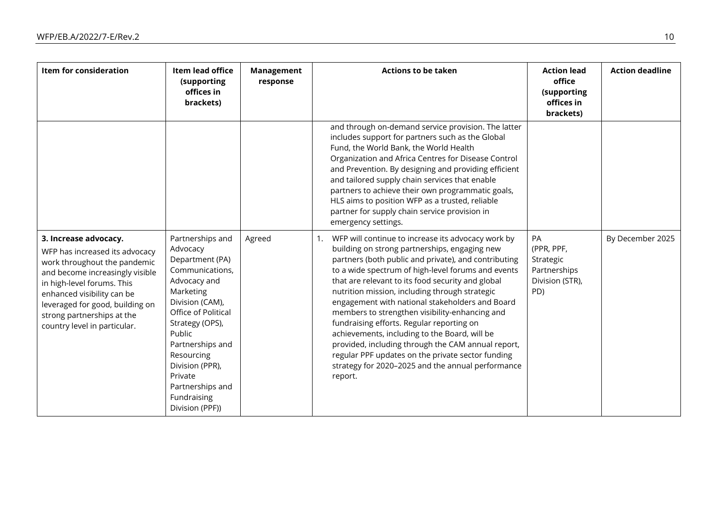| Item for consideration                                                                                                                                                                                                                                                                  | Item lead office<br>(supporting<br>offices in<br>brackets)                                                                                                                                                                                                                                   | <b>Management</b><br>response | <b>Actions to be taken</b>                                                                                                                                                                                                                                                                                                                                                                                                                                                                                                                                                                                                                                                                                   | <b>Action lead</b><br>office<br>(supporting<br>offices in<br>brackets)  | <b>Action deadline</b> |
|-----------------------------------------------------------------------------------------------------------------------------------------------------------------------------------------------------------------------------------------------------------------------------------------|----------------------------------------------------------------------------------------------------------------------------------------------------------------------------------------------------------------------------------------------------------------------------------------------|-------------------------------|--------------------------------------------------------------------------------------------------------------------------------------------------------------------------------------------------------------------------------------------------------------------------------------------------------------------------------------------------------------------------------------------------------------------------------------------------------------------------------------------------------------------------------------------------------------------------------------------------------------------------------------------------------------------------------------------------------------|-------------------------------------------------------------------------|------------------------|
|                                                                                                                                                                                                                                                                                         |                                                                                                                                                                                                                                                                                              |                               | and through on-demand service provision. The latter<br>includes support for partners such as the Global<br>Fund, the World Bank, the World Health<br>Organization and Africa Centres for Disease Control<br>and Prevention. By designing and providing efficient<br>and tailored supply chain services that enable<br>partners to achieve their own programmatic goals,<br>HLS aims to position WFP as a trusted, reliable<br>partner for supply chain service provision in<br>emergency settings.                                                                                                                                                                                                           |                                                                         |                        |
| 3. Increase advocacy.<br>WFP has increased its advocacy<br>work throughout the pandemic<br>and become increasingly visible<br>in high-level forums. This<br>enhanced visibility can be<br>leveraged for good, building on<br>strong partnerships at the<br>country level in particular. | Partnerships and<br>Advocacy<br>Department (PA)<br>Communications,<br>Advocacy and<br>Marketing<br>Division (CAM),<br>Office of Political<br>Strategy (OPS),<br>Public<br>Partnerships and<br>Resourcing<br>Division (PPR),<br>Private<br>Partnerships and<br>Fundraising<br>Division (PPF)) | Agreed                        | WFP will continue to increase its advocacy work by<br>1.<br>building on strong partnerships, engaging new<br>partners (both public and private), and contributing<br>to a wide spectrum of high-level forums and events<br>that are relevant to its food security and global<br>nutrition mission, including through strategic<br>engagement with national stakeholders and Board<br>members to strengthen visibility-enhancing and<br>fundraising efforts. Regular reporting on<br>achievements, including to the Board, will be<br>provided, including through the CAM annual report,<br>regular PPF updates on the private sector funding<br>strategy for 2020-2025 and the annual performance<br>report. | PA<br>(PPR, PPF,<br>Strategic<br>Partnerships<br>Division (STR),<br>PD) | By December 2025       |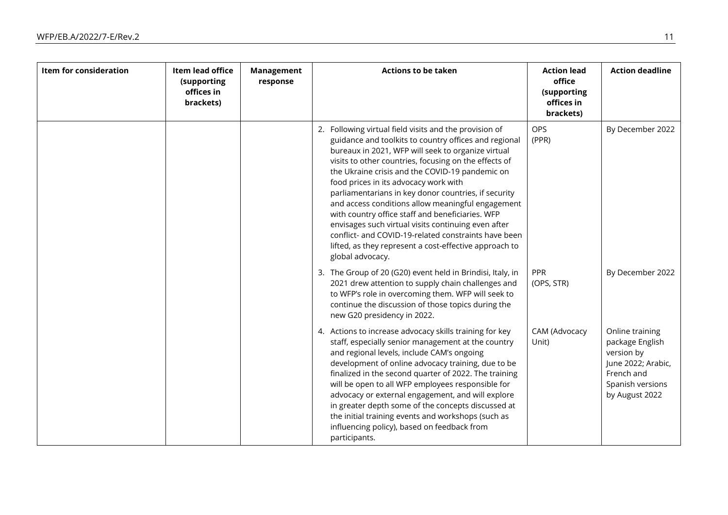| Item for consideration | Item lead office<br>(supporting<br>offices in<br>brackets) | <b>Management</b><br>response | <b>Actions to be taken</b>                                                                                                                                                                                                                                                                                                                                                                                                                                                                                                                                                                                                                                                               | <b>Action lead</b><br>office<br>(supporting<br>offices in<br>brackets) | <b>Action deadline</b>                                                                                                     |
|------------------------|------------------------------------------------------------|-------------------------------|------------------------------------------------------------------------------------------------------------------------------------------------------------------------------------------------------------------------------------------------------------------------------------------------------------------------------------------------------------------------------------------------------------------------------------------------------------------------------------------------------------------------------------------------------------------------------------------------------------------------------------------------------------------------------------------|------------------------------------------------------------------------|----------------------------------------------------------------------------------------------------------------------------|
|                        |                                                            |                               | 2. Following virtual field visits and the provision of<br>guidance and toolkits to country offices and regional<br>bureaux in 2021, WFP will seek to organize virtual<br>visits to other countries, focusing on the effects of<br>the Ukraine crisis and the COVID-19 pandemic on<br>food prices in its advocacy work with<br>parliamentarians in key donor countries, if security<br>and access conditions allow meaningful engagement<br>with country office staff and beneficiaries. WFP<br>envisages such virtual visits continuing even after<br>conflict- and COVID-19-related constraints have been<br>lifted, as they represent a cost-effective approach to<br>global advocacy. | <b>OPS</b><br>(PPR)                                                    | By December 2022                                                                                                           |
|                        |                                                            |                               | 3. The Group of 20 (G20) event held in Brindisi, Italy, in<br>2021 drew attention to supply chain challenges and<br>to WFP's role in overcoming them. WFP will seek to<br>continue the discussion of those topics during the<br>new G20 presidency in 2022.                                                                                                                                                                                                                                                                                                                                                                                                                              | PPR<br>(OPS, STR)                                                      | By December 2022                                                                                                           |
|                        |                                                            |                               | 4. Actions to increase advocacy skills training for key<br>staff, especially senior management at the country<br>and regional levels, include CAM's ongoing<br>development of online advocacy training, due to be<br>finalized in the second quarter of 2022. The training<br>will be open to all WFP employees responsible for<br>advocacy or external engagement, and will explore<br>in greater depth some of the concepts discussed at<br>the initial training events and workshops (such as<br>influencing policy), based on feedback from<br>participants.                                                                                                                         | CAM (Advocacy<br>Unit)                                                 | Online training<br>package English<br>version by<br>June 2022; Arabic,<br>French and<br>Spanish versions<br>by August 2022 |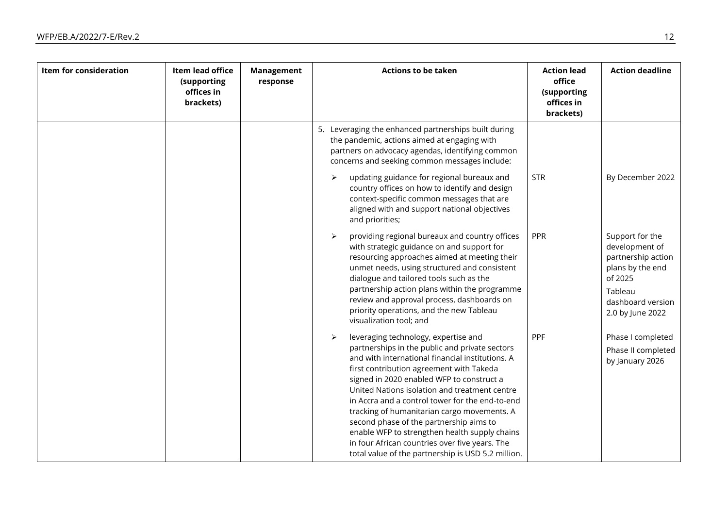| Item for consideration | Item lead office<br>(supporting<br>offices in<br>brackets) | <b>Management</b><br>response | <b>Actions to be taken</b>                                                                                                                                                                                                                                                                                                                                                                                                                                                                                                                                                                                          | <b>Action lead</b><br>office<br>(supporting<br>offices in<br>brackets) | <b>Action deadline</b>                                                                                                                     |
|------------------------|------------------------------------------------------------|-------------------------------|---------------------------------------------------------------------------------------------------------------------------------------------------------------------------------------------------------------------------------------------------------------------------------------------------------------------------------------------------------------------------------------------------------------------------------------------------------------------------------------------------------------------------------------------------------------------------------------------------------------------|------------------------------------------------------------------------|--------------------------------------------------------------------------------------------------------------------------------------------|
|                        |                                                            |                               | 5. Leveraging the enhanced partnerships built during<br>the pandemic, actions aimed at engaging with<br>partners on advocacy agendas, identifying common<br>concerns and seeking common messages include:<br>updating guidance for regional bureaux and<br>➤<br>country offices on how to identify and design<br>context-specific common messages that are<br>aligned with and support national objectives                                                                                                                                                                                                          | <b>STR</b>                                                             | By December 2022                                                                                                                           |
|                        |                                                            |                               | and priorities;<br>providing regional bureaux and country offices<br>➤<br>with strategic guidance on and support for<br>resourcing approaches aimed at meeting their<br>unmet needs, using structured and consistent<br>dialogue and tailored tools such as the<br>partnership action plans within the programme<br>review and approval process, dashboards on<br>priority operations, and the new Tableau<br>visualization tool; and                                                                                                                                                                               | PPR                                                                    | Support for the<br>development of<br>partnership action<br>plans by the end<br>of 2025<br>Tableau<br>dashboard version<br>2.0 by June 2022 |
|                        |                                                            |                               | leveraging technology, expertise and<br>$\blacktriangleright$<br>partnerships in the public and private sectors<br>and with international financial institutions. A<br>first contribution agreement with Takeda<br>signed in 2020 enabled WFP to construct a<br>United Nations isolation and treatment centre<br>in Accra and a control tower for the end-to-end<br>tracking of humanitarian cargo movements. A<br>second phase of the partnership aims to<br>enable WFP to strengthen health supply chains<br>in four African countries over five years. The<br>total value of the partnership is USD 5.2 million. | PPF                                                                    | Phase I completed<br>Phase II completed<br>by January 2026                                                                                 |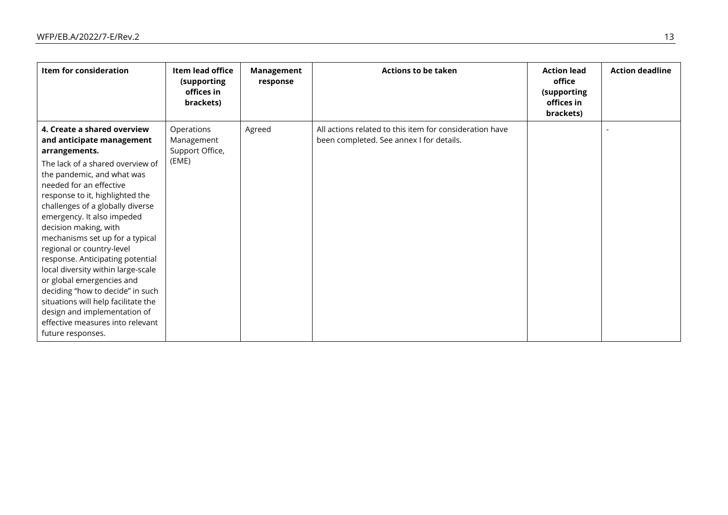| Item for consideration                                                                                                                                                                                                                                                                                                                                                                                                                                                                                                                                                                                                                          | Item lead office<br>(supporting<br>offices in<br>brackets) | Management<br>response | <b>Actions to be taken</b>                                                                          | <b>Action lead</b><br>office<br>(supporting<br>offices in<br>brackets) | <b>Action deadline</b> |
|-------------------------------------------------------------------------------------------------------------------------------------------------------------------------------------------------------------------------------------------------------------------------------------------------------------------------------------------------------------------------------------------------------------------------------------------------------------------------------------------------------------------------------------------------------------------------------------------------------------------------------------------------|------------------------------------------------------------|------------------------|-----------------------------------------------------------------------------------------------------|------------------------------------------------------------------------|------------------------|
| 4. Create a shared overview<br>and anticipate management<br>arrangements.<br>The lack of a shared overview of<br>the pandemic, and what was<br>needed for an effective<br>response to it, highlighted the<br>challenges of a globally diverse<br>emergency. It also impeded<br>decision making, with<br>mechanisms set up for a typical<br>regional or country-level<br>response. Anticipating potential<br>local diversity within large-scale<br>or global emergencies and<br>deciding "how to decide" in such<br>situations will help facilitate the<br>design and implementation of<br>effective measures into relevant<br>future responses. | Operations<br>Management<br>Support Office,<br>(EME)       | Agreed                 | All actions related to this item for consideration have<br>been completed. See annex I for details. |                                                                        |                        |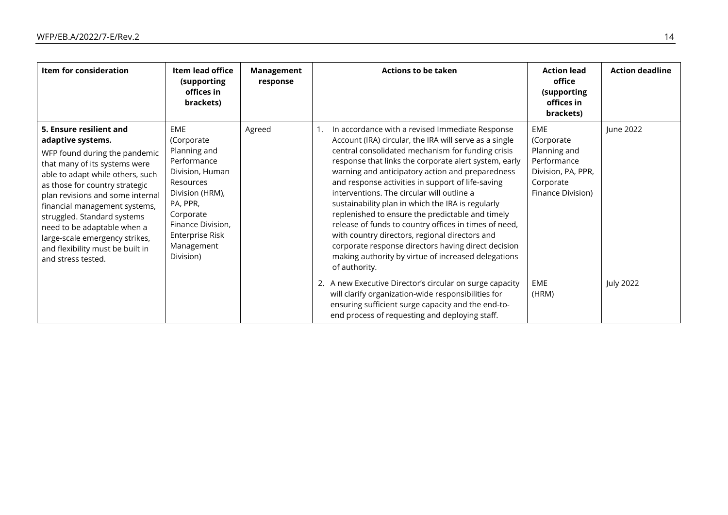| Item for consideration                                                                                                                                                                                                                                                                                                                                                                                              | Item lead office<br>(supporting<br>offices in<br>brackets)                                                                                                                                             | Management<br>response | <b>Actions to be taken</b>                                                                                                                                                                                                                                                                                                                                                                                                                                                                                                                                                                                                                                                                                                              | <b>Action lead</b><br>office<br>(supporting<br>offices in<br>brackets)                                          | <b>Action deadline</b> |
|---------------------------------------------------------------------------------------------------------------------------------------------------------------------------------------------------------------------------------------------------------------------------------------------------------------------------------------------------------------------------------------------------------------------|--------------------------------------------------------------------------------------------------------------------------------------------------------------------------------------------------------|------------------------|-----------------------------------------------------------------------------------------------------------------------------------------------------------------------------------------------------------------------------------------------------------------------------------------------------------------------------------------------------------------------------------------------------------------------------------------------------------------------------------------------------------------------------------------------------------------------------------------------------------------------------------------------------------------------------------------------------------------------------------------|-----------------------------------------------------------------------------------------------------------------|------------------------|
| 5. Ensure resilient and<br>adaptive systems.<br>WFP found during the pandemic<br>that many of its systems were<br>able to adapt while others, such<br>as those for country strategic<br>plan revisions and some internal<br>financial management systems,<br>struggled. Standard systems<br>need to be adaptable when a<br>large-scale emergency strikes,<br>and flexibility must be built in<br>and stress tested. | <b>EME</b><br>(Corporate<br>Planning and<br>Performance<br>Division, Human<br>Resources<br>Division (HRM),<br>PA, PPR,<br>Corporate<br>Finance Division,<br>Enterprise Risk<br>Management<br>Division) | Agreed                 | In accordance with a revised Immediate Response<br>1.<br>Account (IRA) circular, the IRA will serve as a single<br>central consolidated mechanism for funding crisis<br>response that links the corporate alert system, early<br>warning and anticipatory action and preparedness<br>and response activities in support of life-saving<br>interventions. The circular will outline a<br>sustainability plan in which the IRA is regularly<br>replenished to ensure the predictable and timely<br>release of funds to country offices in times of need,<br>with country directors, regional directors and<br>corporate response directors having direct decision<br>making authority by virtue of increased delegations<br>of authority. | <b>EME</b><br>(Corporate<br>Planning and<br>Performance<br>Division, PA, PPR,<br>Corporate<br>Finance Division) | June 2022              |
|                                                                                                                                                                                                                                                                                                                                                                                                                     |                                                                                                                                                                                                        |                        | 2. A new Executive Director's circular on surge capacity<br>will clarify organization-wide responsibilities for<br>ensuring sufficient surge capacity and the end-to-<br>end process of requesting and deploying staff.                                                                                                                                                                                                                                                                                                                                                                                                                                                                                                                 | <b>EME</b><br>(HRM)                                                                                             | <b>July 2022</b>       |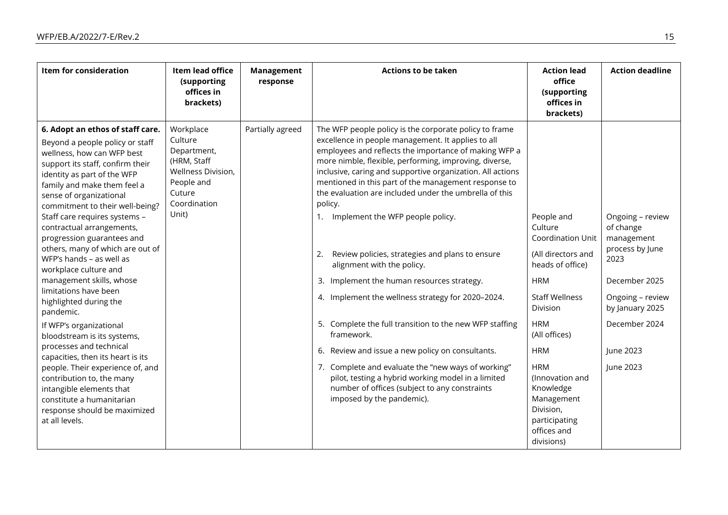| <b>Item for consideration</b>                                                                                                                                                                                                                                                                                                                                                                                                                                                                                                                                                                                                                                                                                                                                                                                                                            | Item lead office<br>(supporting<br>offices in<br>brackets)                                                                | <b>Management</b><br>response | <b>Actions to be taken</b>                                                                                                                                                                                                                                                                                                                                                                                                                                                                                                                                                                                                                                                                                                                                                                                                                                                                                                                                                            | <b>Action lead</b><br>office<br>(supporting<br>offices in<br>brackets)                                                                                                                                                                                                                                      | <b>Action deadline</b>                                                                                                                                                    |
|----------------------------------------------------------------------------------------------------------------------------------------------------------------------------------------------------------------------------------------------------------------------------------------------------------------------------------------------------------------------------------------------------------------------------------------------------------------------------------------------------------------------------------------------------------------------------------------------------------------------------------------------------------------------------------------------------------------------------------------------------------------------------------------------------------------------------------------------------------|---------------------------------------------------------------------------------------------------------------------------|-------------------------------|---------------------------------------------------------------------------------------------------------------------------------------------------------------------------------------------------------------------------------------------------------------------------------------------------------------------------------------------------------------------------------------------------------------------------------------------------------------------------------------------------------------------------------------------------------------------------------------------------------------------------------------------------------------------------------------------------------------------------------------------------------------------------------------------------------------------------------------------------------------------------------------------------------------------------------------------------------------------------------------|-------------------------------------------------------------------------------------------------------------------------------------------------------------------------------------------------------------------------------------------------------------------------------------------------------------|---------------------------------------------------------------------------------------------------------------------------------------------------------------------------|
| 6. Adopt an ethos of staff care.<br>Beyond a people policy or staff<br>wellness, how can WFP best<br>support its staff, confirm their<br>identity as part of the WFP<br>family and make them feel a<br>sense of organizational<br>commitment to their well-being?<br>Staff care requires systems -<br>contractual arrangements,<br>progression guarantees and<br>others, many of which are out of<br>WFP's hands - as well as<br>workplace culture and<br>management skills, whose<br>limitations have been<br>highlighted during the<br>pandemic.<br>If WFP's organizational<br>bloodstream is its systems,<br>processes and technical<br>capacities, then its heart is its<br>people. Their experience of, and<br>contribution to, the many<br>intangible elements that<br>constitute a humanitarian<br>response should be maximized<br>at all levels. | Workplace<br>Culture<br>Department,<br>(HRM, Staff<br>Wellness Division,<br>People and<br>Cuture<br>Coordination<br>Unit) | Partially agreed              | The WFP people policy is the corporate policy to frame<br>excellence in people management. It applies to all<br>employees and reflects the importance of making WFP a<br>more nimble, flexible, performing, improving, diverse,<br>inclusive, caring and supportive organization. All actions<br>mentioned in this part of the management response to<br>the evaluation are included under the umbrella of this<br>policy.<br>Implement the WFP people policy.<br>1.<br>Review policies, strategies and plans to ensure<br>2.<br>alignment with the policy.<br>3. Implement the human resources strategy.<br>4. Implement the wellness strategy for 2020-2024.<br>5. Complete the full transition to the new WFP staffing<br>framework.<br>6. Review and issue a new policy on consultants.<br>7. Complete and evaluate the "new ways of working"<br>pilot, testing a hybrid working model in a limited<br>number of offices (subject to any constraints<br>imposed by the pandemic). | People and<br>Culture<br>Coordination Unit<br>(All directors and<br>heads of office)<br><b>HRM</b><br><b>Staff Wellness</b><br>Division<br><b>HRM</b><br>(All offices)<br><b>HRM</b><br><b>HRM</b><br>(Innovation and<br>Knowledge<br>Management<br>Division,<br>participating<br>offices and<br>divisions) | Ongoing - review<br>of change<br>management<br>process by June<br>2023<br>December 2025<br>Ongoing - review<br>by January 2025<br>December 2024<br>June 2023<br>June 2023 |